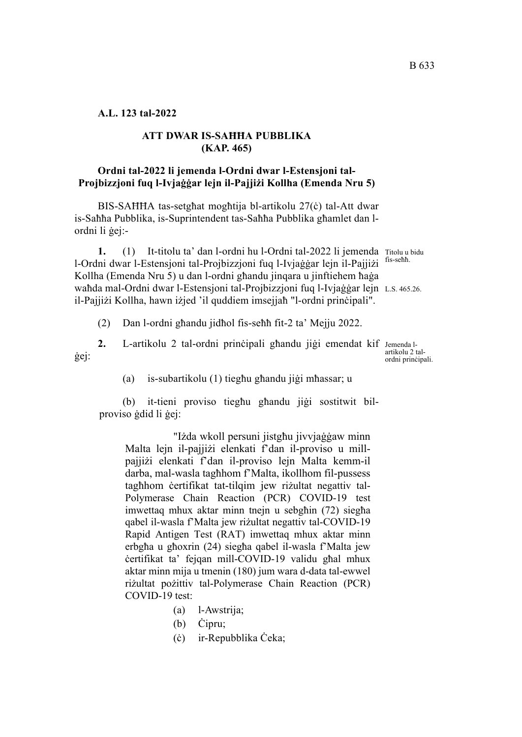# **A.L. 123 tal-2022**

#### **ATT DWAR IS-SAĦĦA PUBBLIKA (KAP. 465)**

# **Ordni tal-2022 li jemenda l-Ordni dwar l-Estensjoni tal-Projbizzjoni fuq l-Ivjaġġar lejn il-Pajjiżi Kollha (Emenda Nru 5)**

BIS-SAĦĦA tas-setgħat mogħtija bl-artikolu 27(ċ) tal-Att dwar is-Saħħa Pubblika, is-Suprintendent tas-Saħħa Pubblika għamlet dan lordni li ġej:-

1. (1) It-titolu ta' dan l-ordni hu l-Ordni tal-2022 li jemenda Titolu u bidu fis-seħħ. waħda mal-Ordni dwar l-Estensjoni tal-Projbizzjoni fuq l-Ivjaġġar lejn L.s. 465.26. l-Ordni dwar l-Estensjoni tal-Projbizzjoni fuq l-Ivjaġġar lejn il-Pajjiżi Kollha (Emenda Nru 5) u dan l-ordni għandu jinqara u jinftiehem ħaġa il-Pajjiżi Kollha, hawn iżjed 'il quddiem imsejjaħ "l-ordni prinċipali".

(2) Dan l-ordni għandu jidħol fis-seħħ fit-2 ta' Mejju 2022.

2. L-artikolu 2 tal-ordni prinċipali għandu jiġi emendat kif Jemenda lġej:

(a) is-subartikolu (1) tiegħu għandu jiġi mħassar; u

(b) it-tieni proviso tiegħu għandu jiġi sostitwit bilproviso ġdid li ġej:

"Iżda wkoll persuni jistgħu jivvjaġġaw minn Malta lejn il-pajjiżi elenkati f'dan il-proviso u millpajjiżi elenkati f'dan il-proviso lejn Malta kemm-il darba, mal-wasla tagħhom f'Malta, ikollhom fil-pussess tagħhom ċertifikat tat-tilqim jew riżultat negattiv tal-Polymerase Chain Reaction (PCR) COVID-19 test imwettaq mhux aktar minn tnejn u sebgħin (72) siegħa qabel il-wasla f'Malta jew riżultat negattiv tal-COVID-19 Rapid Antigen Test (RAT) imwettaq mhux aktar minn erbgħa u għoxrin (24) siegħa qabel il-wasla f'Malta jew ċertifikat ta' fejqan mill-COVID-19 validu għal mhux aktar minn mija u tmenin (180) jum wara d-data tal-ewwel riżultat pożittiv tal-Polymerase Chain Reaction (PCR) COVID-19 test:

- (a) l-Awstrija;
- (b) Ċipru;
- (ċ) ir-Repubblika Ċeka;

artikolu 2 talordni prinċipali.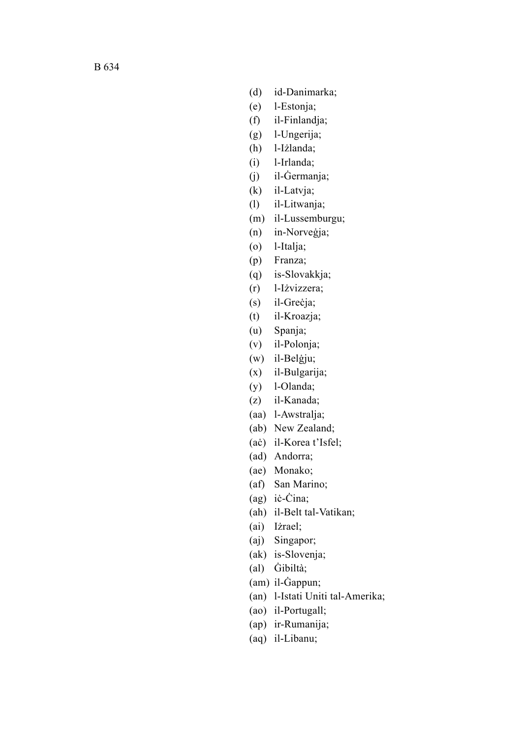- (d) id-Danimarka;
- (e) l-Estonja;
- (f) il-Finlandja;
- (g) l-Ungerija;
- (h) l-Iżlanda;
- (i) l-Irlanda;
- (j) il-Ġermanja;
- (k) il-Latvja;
- (l) il-Litwanja;
- (m) il-Lussemburgu;
- (n) in-Norveġja;
- (o) l-Italja;
- (p) Franza;
- (q) is-Slovakkja;
- (r) l-Iżvizzera;
- (s) il-Greċja;
- (t) il-Kroazja;
- (u) Spanja;
- (v) il-Polonja;
- (w) il-Belġju;
- (x) il-Bulgarija;
- (y) l-Olanda;
- (z) il-Kanada;
- (aa) l-Awstralja;
- (ab) New Zealand;
- (aċ) il-Korea t'Isfel;
- (ad) Andorra;
- (ae) Monako;
- (af) San Marino;
- (ag) iċ-Ċina;
- (ah) il-Belt tal-Vatikan;
- (ai) Iżrael;
- (aj) Singapor;
- (ak) is-Slovenja;
- (al) Ġibiltà;
- (am) il-Ġappun;
- (an) l-Istati Uniti tal-Amerika;
- (ao) il-Portugall;
- (ap) ir-Rumanija;
- (aq) il-Libanu;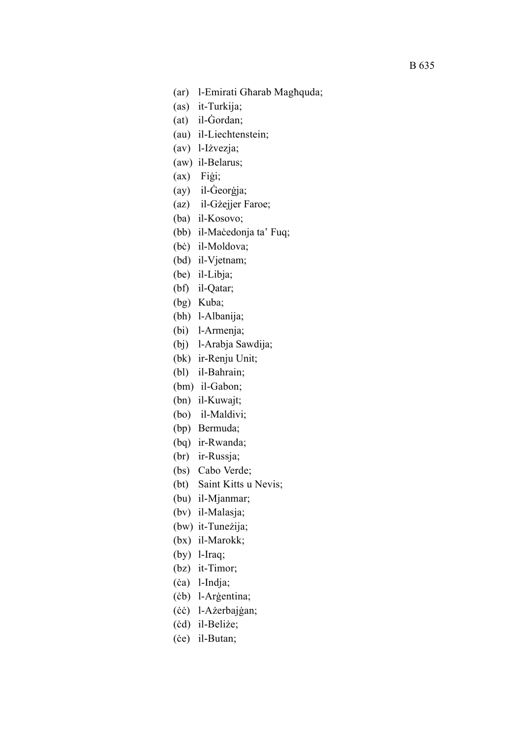- (ar) l-Emirati Għarab Magħquda;
- (as) it-Turkija;
- (at) il-Ġordan;
- (au) il-Liechtenstein;
- (av) l-Iżvezja;
- (aw) il-Belarus;
- (ax) Fiġi;
- (ay) il-Ġeorġja;
- (az) il-Gżejjer Faroe;
- (ba) il-Kosovo;
- (bb) il-Maċedonja ta' Fuq;
- (bċ) il-Moldova;
- (bd) il-Vjetnam;
- (be) il-Libja;
- (bf) il-Qatar;
- (bg) Kuba;
- (bh) l-Albanija;
- (bi) l-Armenja;
- (bj) l-Arabja Sawdija;
- (bk) ir-Renju Unit;
- (bl) il-Bahrain;
- (bm) il-Gabon;
- (bn) il-Kuwajt;
- (bo) il-Maldivi;
- (bp) Bermuda;
- (bq) ir-Rwanda;
- (br) ir-Russja;
- (bs) Cabo Verde;
- (bt) Saint Kitts u Nevis;
- (bu) il-Mjanmar;
- (bv) il-Malasja;
- (bw) it-Tuneżija;
- (bx) il-Marokk;
- (by) l-Iraq;
- (bz) it-Timor;
- (ċa) l-Indja;
- (ċb) l-Arġentina;
- (ċċ) l-Ażerbajġan;
- (ċd) il-Beliże;
- (ċe) il-Butan;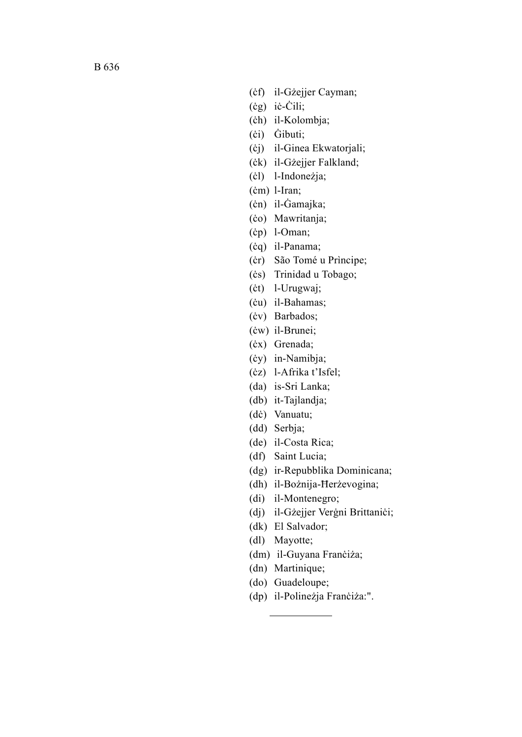- (ċf) il-Gżejjer Cayman;
- (ċg) iċ-Ċili;
- (ċh) il-Kolombja;
- (ċi) Ġibuti;
- (ċj) il-Ginea Ekwatorjali;
- (ċk) il-Gżejjer Falkland;
- (ċl) l-Indoneżja;
- (ċm) l-Iran;
- (ċn) il-Ġamajka;
- (ċo) Mawritanja;
- (ċp) l-Oman;
- (ċq) il-Panama;
- (ċr) São Tomé u Prìncipe;
- (ċs) Trinidad u Tobago;
- (ċt) l-Urugwaj;
- (ċu) il-Bahamas;
- (ċv) Barbados;
- (ċw) il-Brunei;
- (ċx) Grenada;
- (ċy) in-Namibja;
- (ċz) l-Afrika t'Isfel;
- (da) is-Sri Lanka;
- (db) it-Tajlandja;
- (dċ) Vanuatu;
- (dd) Serbja;
- (de) il-Costa Rica;
- (df) Saint Lucia;
- (dg) ir-Repubblika Dominicana;
- (dh) il-Bożnija-Ħerżevogina;
- (di) il-Montenegro;
- (dj) il-Gżejjer Verġni Brittaniċi;
- (dk) El Salvador;
- (dl) Mayotte;
- (dm) il-Guyana Franċiża;
- (dn) Martinique;
- (do) Guadeloupe;
- (dp) il-Polineżja Franċiża:".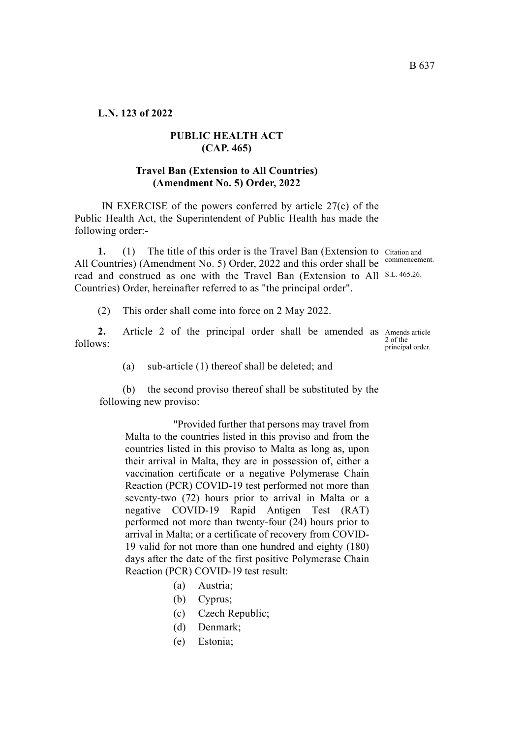**L.N. 123 of 2022**

### **PUBLIC HEALTH ACT (CAP. 465)**

#### **Travel Ban (Extension to All Countries) (Amendment No. 5) Order, 2022**

 IN EXERCISE of the powers conferred by article 27(c) of the Public Health Act, the Superintendent of Public Health has made the following order:-

1. (1) The title of this order is the Travel Ban (Extension to Citation and All Countries) (Amendment No. 5) Order, 2022 and this order shall be commencement. read and construed as one with the Travel Ban (Extension to All S.L. 465.26. Countries) Order, hereinafter referred to as "the principal order".

(2) This order shall come into force on 2 May 2022.

2. Article 2 of the principal order shall be amended as Amends article follows:

2 of the principal order.

(a) sub-article (1) thereof shall be deleted; and

(b) the second proviso thereof shall be substituted by the following new proviso:

"Provided further that persons may travel from Malta to the countries listed in this proviso and from the countries listed in this proviso to Malta as long as, upon their arrival in Malta, they are in possession of, either a vaccination certificate or a negative Polymerase Chain Reaction (PCR) COVID-19 test performed not more than seventy-two (72) hours prior to arrival in Malta or a negative COVID-19 Rapid Antigen Test (RAT) performed not more than twenty-four (24) hours prior to arrival in Malta; or a certificate of recovery from COVID-19 valid for not more than one hundred and eighty (180) days after the date of the first positive Polymerase Chain Reaction (PCR) COVID-19 test result:

- (a) Austria;
- (b) Cyprus;
- (c) Czech Republic;
- (d) Denmark;
- (e) Estonia;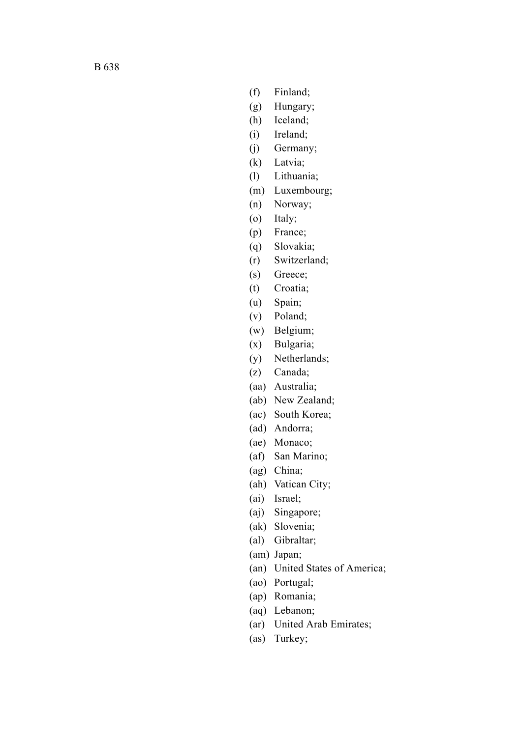- (f) Finland;
- (g) Hungary;
- (h) Iceland;
- (i) Ireland;
- (j) Germany;
- (k) Latvia;
- (l) Lithuania;
- (m) Luxembourg;
- (n) Norway;
- (o) Italy;
- (p) France;
- (q) Slovakia;
- (r) Switzerland;
- (s) Greece;
- (t) Croatia;
- (u) Spain;
- (v) Poland;
- (w) Belgium;
- (x) Bulgaria;
- (y) Netherlands;
- (z) Canada;
- (aa) Australia;
- (ab) New Zealand;
- (ac) South Korea;
- (ad) Andorra;
- (ae) Monaco;
- (af) San Marino;
- (ag) China;
- (ah) Vatican City;
- (ai) Israel;
- (aj) Singapore;
- (ak) Slovenia;
- (al) Gibraltar;
- (am) Japan;
- (an) United States of America;
- (ao) Portugal;
- (ap) Romania;
- (aq) Lebanon;
- (ar) United Arab Emirates;
- (as) Turkey;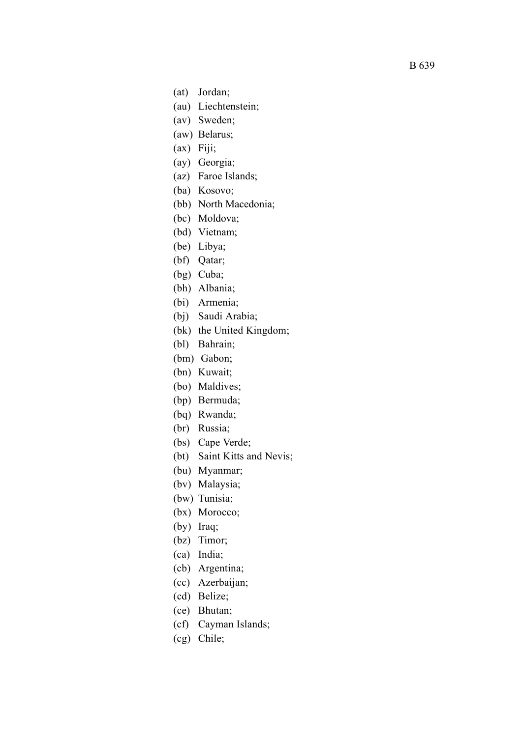- (at) Jordan;
- (au) Liechtenstein;
- (av) Sweden;
- (aw) Belarus;
- (ax) Fiji;
- (ay) Georgia;
- (az) Faroe Islands;
- (ba) Kosovo;
- (bb) North Macedonia;
- (bc) Moldova;
- (bd) Vietnam;
- (be) Libya;
- (bf) Qatar;
- (bg) Cuba;
- (bh) Albania;
- (bi) Armenia;
- (bj) Saudi Arabia;
- (bk) the United Kingdom;
- (bl) Bahrain;
- (bm) Gabon;
- (bn) Kuwait;
- (bo) Maldives;
- (bp) Bermuda;
- (bq) Rwanda;
- (br) Russia;
- (bs) Cape Verde;
- (bt) Saint Kitts and Nevis;
- (bu) Myanmar;
- (bv) Malaysia;
- (bw) Tunisia;
- (bx) Morocco;
- (by) Iraq;
- (bz) Timor;
- (ca) India;
- (cb) Argentina;
- (cc) Azerbaijan;
- (cd) Belize;
- (ce) Bhutan;
- (cf) Cayman Islands;
- (cg) Chile;